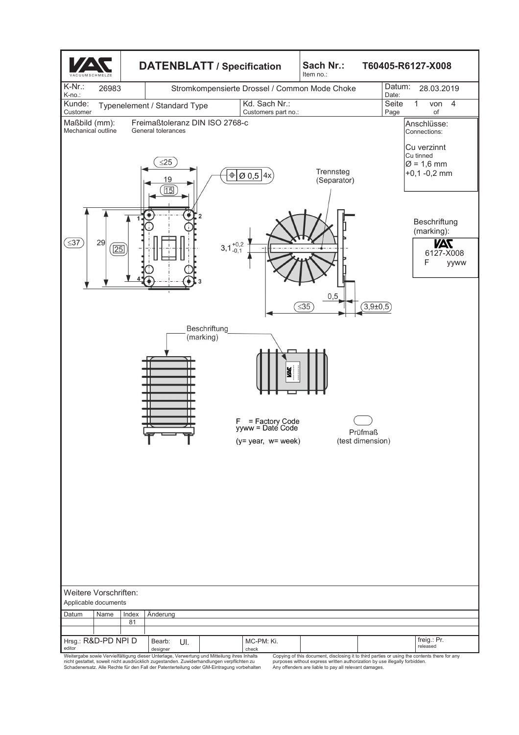

Weitergabe sowie Vervielfältigung dieser Unterlage, Verwertung und Mitteilung ihres Inhalts<br>nicht gestattet, soweit nicht ausdrücklich zugestanden. Zuwiderhandlungen verpflichten zu<br>Schadenersatz. Alle Rechte für den Fall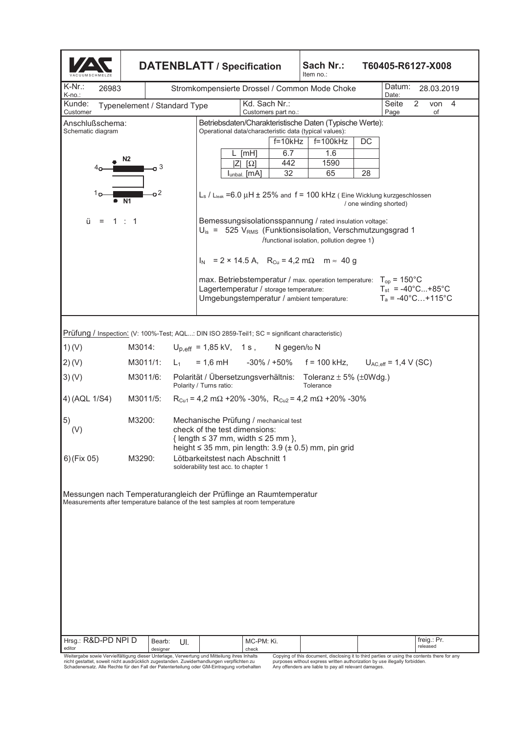|                                                                                                                                                               |                                                                                        |                                                                                                                                                                                          | <b>DATENBLATT / Specification</b>                                                                                                                              |           | Sach Nr.:<br>Item no.:                     |    | T60405-R6127-X008                                                                                        |  |
|---------------------------------------------------------------------------------------------------------------------------------------------------------------|----------------------------------------------------------------------------------------|------------------------------------------------------------------------------------------------------------------------------------------------------------------------------------------|----------------------------------------------------------------------------------------------------------------------------------------------------------------|-----------|--------------------------------------------|----|----------------------------------------------------------------------------------------------------------|--|
| K-Nr.:<br>26983<br>K-no.:                                                                                                                                     | Stromkompensierte Drossel / Common Mode Choke                                          |                                                                                                                                                                                          |                                                                                                                                                                |           |                                            |    | Datum:<br>28.03.2019<br>Date:                                                                            |  |
| Kd. Sach Nr.:<br>2<br>Kunde:<br>Seite<br>4<br>von<br>Typenelement / Standard Type<br>Customer<br>Customers part no.:<br>Page<br>of                            |                                                                                        |                                                                                                                                                                                          |                                                                                                                                                                |           |                                            |    |                                                                                                          |  |
| Betriebsdaten/Charakteristische Daten (Typische Werte):<br>Anschlußschema:<br>Operational data/characteristic data (typical values):<br>Schematic diagram     |                                                                                        |                                                                                                                                                                                          |                                                                                                                                                                |           |                                            |    |                                                                                                          |  |
|                                                                                                                                                               |                                                                                        |                                                                                                                                                                                          |                                                                                                                                                                | $f=10kHz$ | $f = 100$ kHz                              | DC |                                                                                                          |  |
|                                                                                                                                                               | N2                                                                                     |                                                                                                                                                                                          | L [mH]                                                                                                                                                         | 6.7       | 1.6                                        |    |                                                                                                          |  |
|                                                                                                                                                               | 3                                                                                      |                                                                                                                                                                                          | ΙZΙ<br>$\lceil \Omega \rceil$<br>l <sub>unbal.</sub> [mA]                                                                                                      | 442<br>32 | 1590<br>65                                 | 28 |                                                                                                          |  |
| ה 1<br>ü<br>$=$                                                                                                                                               | -o 2<br>N1<br>1:1                                                                      |                                                                                                                                                                                          | $L_s$ / $L_{leak}$ =6.0 $\mu$ H $\pm$ 25% and f = 100 kHz (Eine Wicklung kurzgeschlossen<br>Bemessungsisolationsspannung / rated insulation voltage:           |           |                                            |    | / one winding shorted)                                                                                   |  |
|                                                                                                                                                               |                                                                                        |                                                                                                                                                                                          | $U_{\text{is}} = 525$ V <sub>RMS</sub> (Funktionsisolation, Verschmutzungsgrad 1<br>$I_N$ = 2 × 14.5 A, R <sub>Cu</sub> = 4,2 m $\Omega$ m $\approx$ 40 g      |           | /functional isolation, pollution degree 1) |    |                                                                                                          |  |
|                                                                                                                                                               |                                                                                        |                                                                                                                                                                                          | max. Betriebstemperatur / max. operation temperature: $T_{op}$ = 150°C<br>Lagertemperatur / storage temperature:<br>Umgebungstemperatur / ambient temperature: |           |                                            |    | $T_{st}$ = -40°C+85°C<br>$T_a = -40^{\circ}$ C +115°C                                                    |  |
|                                                                                                                                                               |                                                                                        |                                                                                                                                                                                          |                                                                                                                                                                |           |                                            |    |                                                                                                          |  |
| Prüfung / Inspection: (V: 100%-Test; AQL: DIN ISO 2859-Teil1; SC = significant characteristic)<br>1)(V)<br>$U_{p,eff}$ = 1,85 kV, 1 s, N gegen/to N<br>M3014: |                                                                                        |                                                                                                                                                                                          |                                                                                                                                                                |           |                                            |    |                                                                                                          |  |
| 2)(V)                                                                                                                                                         | M3011/1:                                                                               | $L_1$                                                                                                                                                                                    |                                                                                                                                                                |           |                                            |    | $U_{AC,eff} = 1.4 V (SC)$                                                                                |  |
| 3)(V)                                                                                                                                                         | M3011/6:                                                                               | $= 1,6 \text{ mH}$ $-30\%$ / +50% f = 100 kHz,<br>Polarität / Übersetzungsverhältnis: Toleranz ± 5% (±0Wdg.)                                                                             |                                                                                                                                                                |           |                                            |    |                                                                                                          |  |
|                                                                                                                                                               |                                                                                        | Polarity / Turns ratio:<br>Tolerance                                                                                                                                                     |                                                                                                                                                                |           |                                            |    |                                                                                                          |  |
| 4) (AQL 1/S4)                                                                                                                                                 | $R_{Cu1} = 4.2$ m $\Omega$ +20% -30%, $R_{Cu2} = 4.2$ m $\Omega$ +20% -30%<br>M3011/5: |                                                                                                                                                                                          |                                                                                                                                                                |           |                                            |    |                                                                                                          |  |
| 5)<br>(V)                                                                                                                                                     | M3200:                                                                                 | Mechanische Prüfung / mechanical test<br>check of the test dimensions:<br>{ length $\leq$ 37 mm, width $\leq$ 25 mm },<br>height $\leq$ 35 mm, pin length: 3.9 ( $\pm$ 0.5) mm, pin grid |                                                                                                                                                                |           |                                            |    |                                                                                                          |  |
| 6)(Fix 05)                                                                                                                                                    | M3290:                                                                                 | Lötbarkeitstest nach Abschnitt 1<br>solderability test acc. to chapter 1                                                                                                                 |                                                                                                                                                                |           |                                            |    |                                                                                                          |  |
| Messungen nach Temperaturangleich der Prüflinge an Raumtemperatur<br>Measurements after temperature balance of the test samples at room temperature           |                                                                                        |                                                                                                                                                                                          |                                                                                                                                                                |           |                                            |    |                                                                                                          |  |
| Hrsg.: R&D-PD NPI D                                                                                                                                           | Bearb:                                                                                 | UI.                                                                                                                                                                                      | MC-PM: Ki.                                                                                                                                                     |           |                                            |    | freig.: Pr.                                                                                              |  |
| editor<br>Weitergabe sowie Vervielfältigung dieser Unterlage, Verwertung und Mitteilung ihres Inhalts                                                         | designer                                                                               |                                                                                                                                                                                          | check                                                                                                                                                          |           |                                            |    | released<br>Copying of this document, disclosing it to third parties or using the contents there for any |  |

Weitergabe sowie Vervielfältigung dieser Unterlage, Verwertung und Mitteilung ihres Inhalts<br>nicht gestattet, soweit nicht ausdrücklich zugestanden. Zuwiderhandlungen verpflichten zu<br>Schadenersatz. Alle Rechte für den Fall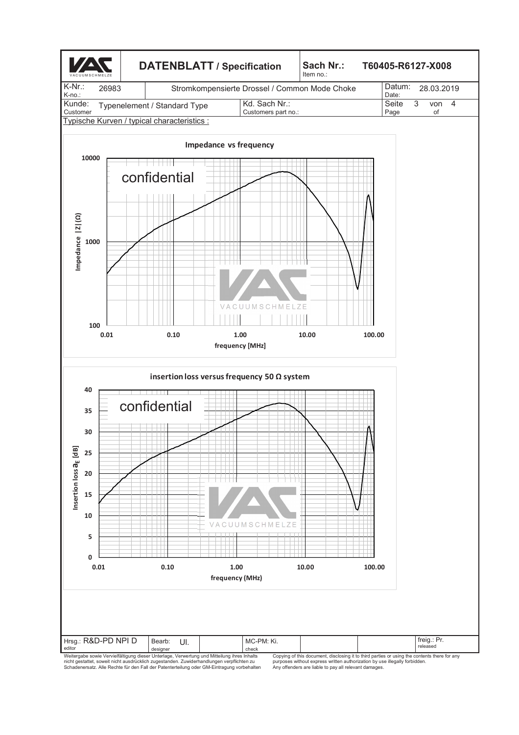